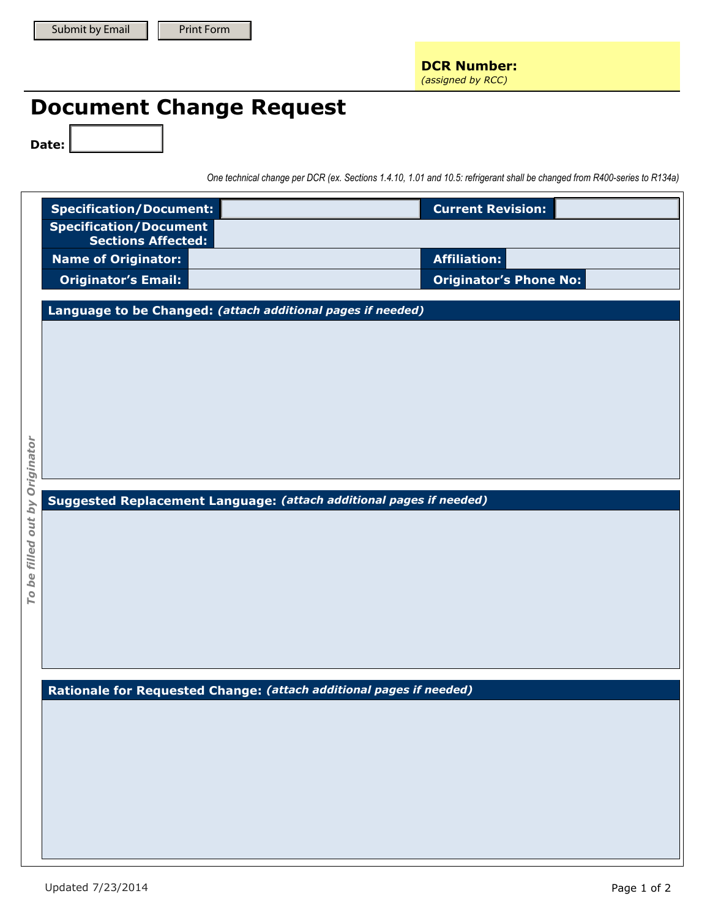## **Document Change Request**

**Date: Date:**

*One technical change per DCR (ex. Sections 1.4.10, 1.01 and 10.5: refrigerant shall be changed from R400-series to R134a)* 

|                             | <b>Specification/Document:</b>                                      | <b>Current Revision:</b>      |  |  |
|-----------------------------|---------------------------------------------------------------------|-------------------------------|--|--|
|                             | <b>Specification/Document</b><br><b>Sections Affected:</b>          |                               |  |  |
|                             | <b>Name of Originator:</b>                                          | <b>Affiliation:</b>           |  |  |
|                             | <b>Originator's Email:</b>                                          | <b>Originator's Phone No:</b> |  |  |
|                             | Language to be Changed: (attach additional pages if needed)         |                               |  |  |
|                             |                                                                     |                               |  |  |
|                             |                                                                     |                               |  |  |
|                             |                                                                     |                               |  |  |
| be filled out by Originator |                                                                     |                               |  |  |
|                             |                                                                     |                               |  |  |
|                             |                                                                     |                               |  |  |
|                             |                                                                     |                               |  |  |
|                             | Suggested Replacement Language: (attach additional pages if needed) |                               |  |  |
|                             |                                                                     |                               |  |  |
|                             |                                                                     |                               |  |  |
|                             |                                                                     |                               |  |  |
| Τo                          |                                                                     |                               |  |  |
|                             |                                                                     |                               |  |  |
|                             |                                                                     |                               |  |  |
|                             |                                                                     |                               |  |  |
|                             | Rationale for Requested Change: (attach additional pages if needed) |                               |  |  |
|                             |                                                                     |                               |  |  |
|                             |                                                                     |                               |  |  |
|                             |                                                                     |                               |  |  |
|                             |                                                                     |                               |  |  |
|                             |                                                                     |                               |  |  |
|                             |                                                                     |                               |  |  |
|                             |                                                                     |                               |  |  |